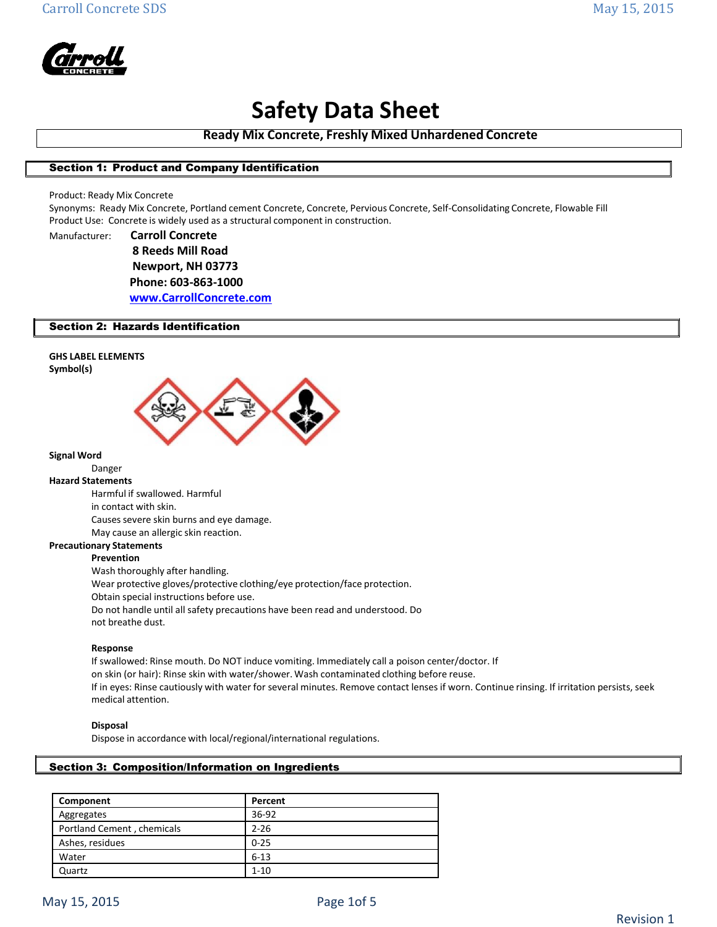

**Ready Mix Concrete, Freshly Mixed Unhardened Concrete**

## Section 1: Product and Company Identification

Product: Ready Mix Concrete

Synonyms: Ready Mix Concrete, Portland cement Concrete, Concrete, Pervious Concrete, Self‐Consolidating Concrete, Flowable Fill Product Use: Concrete is widely used as a structural component in construction.

Manufacturer: **Carroll Concrete 8 Reeds Mill Road Newport, NH 03773 Phone: 603-863-1000 [www.CarrollConcrete.com](http://www.carrollconcrete.com/)**

## Section 2: Hazards Identification

## **GHS LABEL ELEMENTS**





### **Signal Word**

Danger

## **Hazard Statements**

Harmful if swallowed. Harmful in contact with skin. Causes severe skin burns and eye damage. May cause an allergic skin reaction.

**Precautionary Statements**

#### **Prevention**

Wash thoroughly after handling. Wear protective gloves/protective clothing/eye protection/face protection. Obtain special instructions before use. Do not handle until all safety precautions have been read and understood. Do not breathe dust.

#### **Response**

If swallowed: Rinse mouth. Do NOT induce vomiting. Immediately call a poison center/doctor. If on skin (or hair): Rinse skin with water/shower. Wash contaminated clothing before reuse. If in eyes: Rinse cautiously with water for several minutes. Remove contact lenses if worn. Continue rinsing. If irritation persists, seek medical attention.

#### **Disposal**

Dispose in accordance with local/regional/international regulations.

## Section 3: Composition/Information on Ingredients

| Component                  | Percent  |
|----------------------------|----------|
| Aggregates                 | 36-92    |
| Portland Cement, chemicals | $2 - 26$ |
| Ashes, residues            | $0 - 25$ |
| Water                      | $6 - 13$ |
| Quartz                     | $1 - 10$ |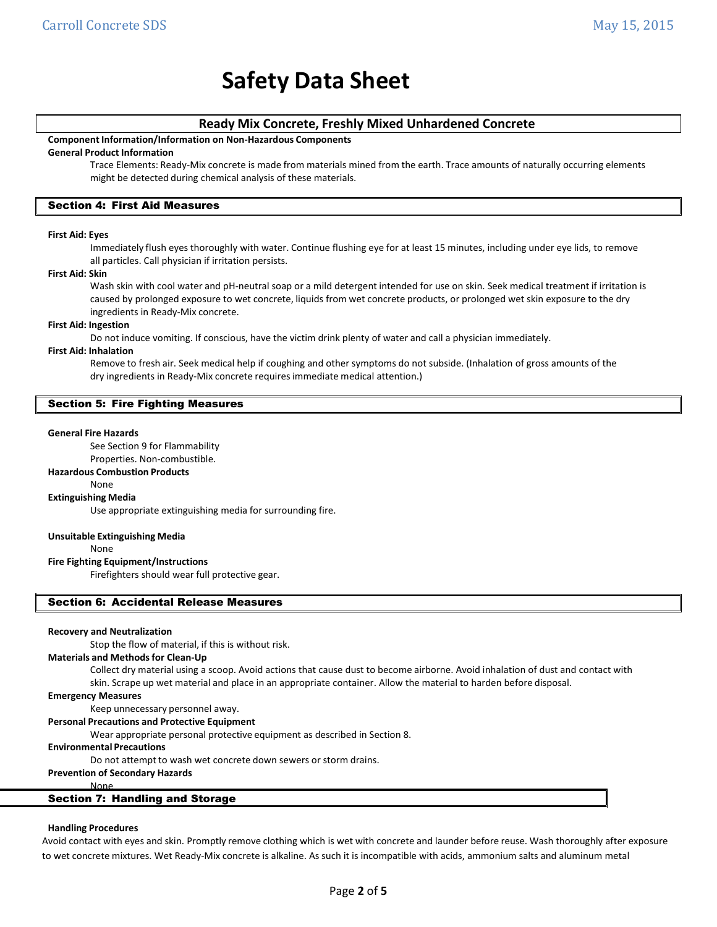## **Ready Mix Concrete, Freshly Mixed Unhardened Concrete**

## **Component Information/Information on Non‐Hazardous Components**

## **General Product Information**

Trace Elements: Ready‐Mix concrete is made from materials mined from the earth. Trace amounts of naturally occurring elements might be detected during chemical analysis of these materials.

## Section 4: First Aid Measures

#### **First Aid: Eyes**

Immediately flush eyes thoroughly with water. Continue flushing eye for at least 15 minutes, including under eye lids, to remove all particles. Call physician if irritation persists.

#### **First Aid: Skin**

Wash skin with cool water and pH-neutral soap or a mild detergent intended for use on skin. Seek medical treatment if irritation is caused by prolonged exposure to wet concrete, liquids from wet concrete products, or prolonged wet skin exposure to the dry ingredients in Ready‐Mix concrete.

#### **First Aid: Ingestion**

Do not induce vomiting. If conscious, have the victim drink plenty of water and call a physician immediately.

#### **First Aid: Inhalation**

Remove to fresh air. Seek medical help if coughing and other symptoms do not subside. (Inhalation of gross amounts of the dry ingredients in Ready‐Mix concrete requires immediate medical attention.)

## Section 5: Fire Fighting Measures

#### **General Fire Hazards**

See Section 9 for Flammability

Properties. Non‐combustible.

#### **Hazardous Combustion Products**

#### None

**Extinguishing Media**

Use appropriate extinguishing media for surrounding fire.

#### **Unsuitable Extinguishing Media**

None

#### **Fire Fighting Equipment/Instructions**

Firefighters should wear full protective gear.

#### Section 6: Accidental Release Measures

#### **Recovery and Neutralization**

Stop the flow of material, if this is without risk.

#### **Materials and Methodsfor Clean‐Up**

Collect dry material using a scoop. Avoid actions that cause dust to become airborne. Avoid inhalation of dust and contact with skin. Scrape up wet material and place in an appropriate container. Allow the material to harden before disposal.

**Emergency Measures**

#### Keep unnecessary personnel away.

**Personal Precautions and Protective Equipment**

Wear appropriate personal protective equipment as described in Section 8.

#### **Environmental Precautions**

Do not attempt to wash wet concrete down sewers or storm drains.

## **Prevention of Secondary Hazards**

None

## Section 7: Handling and Storage

#### **Handling Procedures**

Avoid contact with eyes and skin. Promptly remove clothing which is wet with concrete and launder before reuse. Wash thoroughly after exposure to wet concrete mixtures. Wet Ready‐Mix concrete is alkaline. As such it is incompatible with acids, ammonium salts and aluminum metal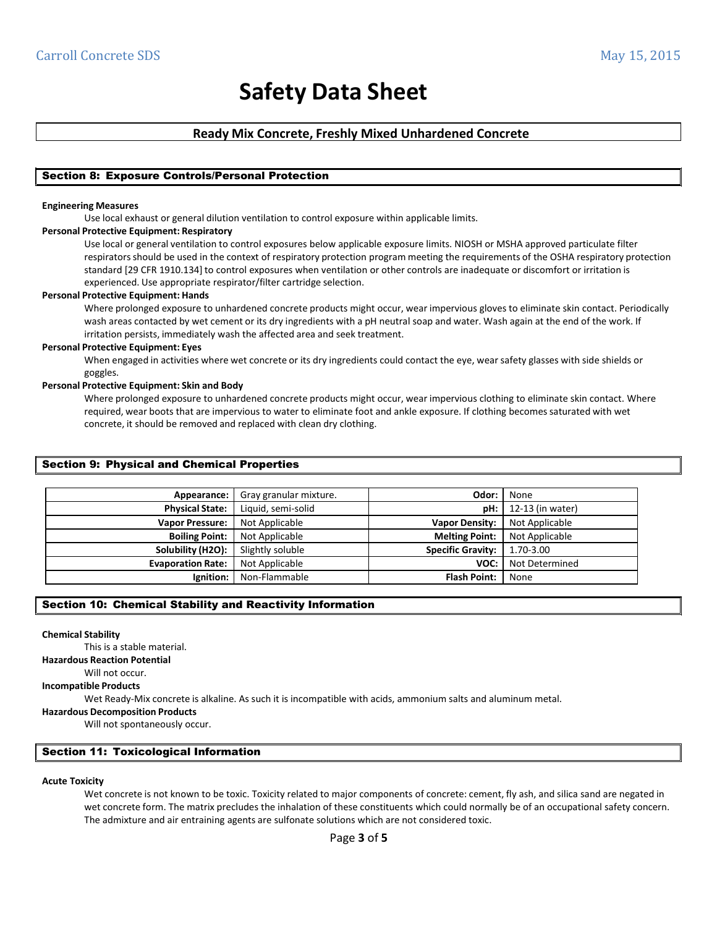## **Ready Mix Concrete, Freshly Mixed Unhardened Concrete**

## Section 8: Exposure Controls/Personal Protection

#### **Engineering Measures**

Use local exhaust or general dilution ventilation to control exposure within applicable limits.

#### **Personal Protective Equipment: Respiratory**

Use local or general ventilation to control exposures below applicable exposure limits. NIOSH or MSHA approved particulate filter respiratorsshould be used in the context of respiratory protection program meeting the requirements of the OSHA respiratory protection standard [29 CFR 1910.134] to control exposures when ventilation or other controls are inadequate or discomfort or irritation is experienced. Use appropriate respirator/filter cartridge selection.

#### **Personal Protective Equipment: Hands**

Where prolonged exposure to unhardened concrete products might occur, wear impervious gloves to eliminate skin contact. Periodically wash areas contacted by wet cement or its dry ingredients with a pH neutral soap and water. Wash again at the end of the work. If irritation persists, immediately wash the affected area and seek treatment.

#### **Personal Protective Equipment: Eyes**

When engaged in activities where wet concrete or its dry ingredients could contact the eye, wear safety glasses with side shields or goggles.

#### **Personal Protective Equipment: Skin and Body**

Where prolonged exposure to unhardened concrete products might occur, wear impervious clothing to eliminate skin contact. Where required, wear boots that are impervious to water to eliminate foot and ankle exposure. If clothing becomessaturated with wet concrete, it should be removed and replaced with clean dry clothing.

### Section 9: Physical and Chemical Properties

| Appearance:              | Gray granular mixture. | Odor:                    | None             |
|--------------------------|------------------------|--------------------------|------------------|
| <b>Physical State:</b>   | Liquid, semi-solid     | pH:                      | 12-13 (in water) |
| <b>Vapor Pressure:</b>   | Not Applicable         | <b>Vapor Density:</b>    | Not Applicable   |
| <b>Boiling Point:</b>    | Not Applicable         | <b>Melting Point:</b>    | Not Applicable   |
| Solubility (H2O):        | Slightly soluble       | <b>Specific Gravity:</b> | 1.70-3.00        |
| <b>Evaporation Rate:</b> | Not Applicable         | VOC:                     | Not Determined   |
| Ignition:                | Non-Flammable          | <b>Flash Point:</b>      | None             |

## Section 10: Chemical Stability and Reactivity Information

#### **Chemical Stability**

This is a stable material.

**Hazardous Reaction Potential**

## Will not occur.

## **Incompatible Products**

Wet Ready‐Mix concrete is alkaline. As such it is incompatible with acids, ammonium salts and aluminum metal.

**Hazardous Decomposition Products**

Will not spontaneously occur.

## Section 11: Toxicological Information

#### **Acute Toxicity**

Wet concrete is not known to be toxic. Toxicity related to major components of concrete: cement, fly ash, and silica sand are negated in wet concrete form. The matrix precludes the inhalation of these constituents which could normally be of an occupational safety concern. The admixture and air entraining agents are sulfonate solutions which are not considered toxic.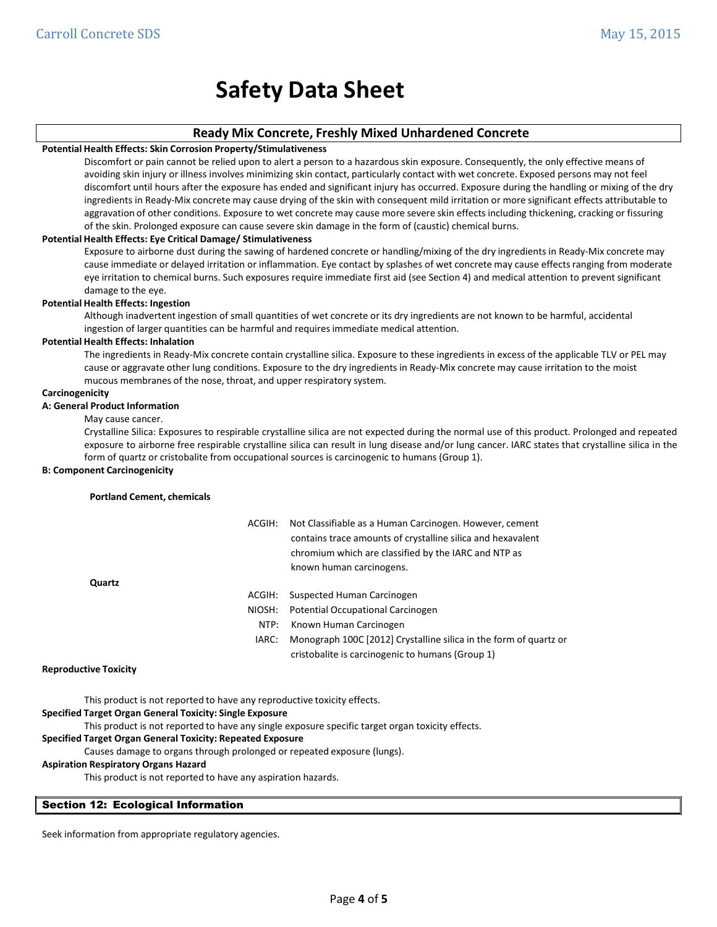## **Ready Mix Concrete, Freshly Mixed Unhardened Concrete**

#### **Potential Health Effects: Skin Corrosion Property/Stimulativeness**

Discomfort or pain cannot be relied upon to alert a person to a hazardous skin exposure. Consequently, the only effective means of avoiding skin injury or illness involves minimizing skin contact, particularly contact with wet concrete. Exposed persons may not feel discomfort until hours after the exposure has ended and significant injury has occurred. Exposure during the handling or mixing of the dry ingredients in Ready‐Mix concrete may cause drying of the skin with consequent mild irritation or more significant effects attributable to aggravation of other conditions. Exposure to wet concrete may cause more severe skin effects including thickening, cracking or fissuring of the skin. Prolonged exposure can cause severe skin damage in the form of (caustic) chemical burns.

#### **Potential Health Effects: Eye Critical Damage/ Stimulativeness**

Exposure to airborne dust during the sawing of hardened concrete or handling/mixing of the dry ingredients in Ready‐Mix concrete may cause immediate or delayed irritation or inflammation. Eye contact by splashes of wet concrete may cause effectsranging from moderate eye irritation to chemical burns. Such exposures require immediate first aid (see Section 4) and medical attention to prevent significant damage to the eye.

#### **Potential Health Effects: Ingestion**

Although inadvertent ingestion of small quantities of wet concrete or its dry ingredients are not known to be harmful, accidental ingestion of larger quantities can be harmful and requires immediate medical attention.

#### **Potential Health Effects: Inhalation**

The ingredients in Ready‐Mix concrete contain crystalline silica. Exposure to these ingredients in excess of the applicable TLV or PEL may cause or aggravate other lung conditions. Exposure to the dry ingredients in Ready‐Mix concrete may cause irritation to the moist mucous membranes of the nose, throat, and upper respiratory system.

#### **Carcinogenicity**

## **A: General Product Information**

May cause cancer.

Crystalline Silica: Exposures to respirable crystalline silica are not expected during the normal use of this product. Prolonged and repeated exposure to airborne free respirable crystalline silica can result in lung disease and/or lung cancer. IARC states that crystalline silica in the form of quartz or cristobalite from occupational sources is carcinogenic to humans (Group 1).

#### **B: Component Carcinogenicity**

#### **Portland Cement, chemicals**

| Quartz         | ACGIH: | Not Classifiable as a Human Carcinogen. However, cement<br>contains trace amounts of crystalline silica and hexavalent<br>chromium which are classified by the IARC and NTP as<br>known human carcinogens. |
|----------------|--------|------------------------------------------------------------------------------------------------------------------------------------------------------------------------------------------------------------|
|                |        |                                                                                                                                                                                                            |
|                | ACGIH: | Suspected Human Carcinogen                                                                                                                                                                                 |
|                | NIOSH: | Potential Occupational Carcinogen                                                                                                                                                                          |
|                | NTP:   | Known Human Carcinogen                                                                                                                                                                                     |
|                | IARC:  | Monograph 100C [2012] Crystalline silica in the form of quartz or                                                                                                                                          |
|                |        | cristobalite is carcinogenic to humans (Group 1)                                                                                                                                                           |
| ctive Tovicity |        |                                                                                                                                                                                                            |

#### **Reproductive Toxicity**

This product is not reported to have any reproductive toxicity effects.

## **Specified Target Organ General Toxicity: Single Exposure**

This product is not reported to have any single exposure specific target organ toxicity effects.

## **Specified Target Organ General Toxicity: Repeated Exposure**

Causes damage to organs through prolonged or repeated exposure (lungs).

## **Aspiration Respiratory Organs Hazard**

This product is not reported to have any aspiration hazards.

## Section 12: Ecological Information

Seek information from appropriate regulatory agencies.